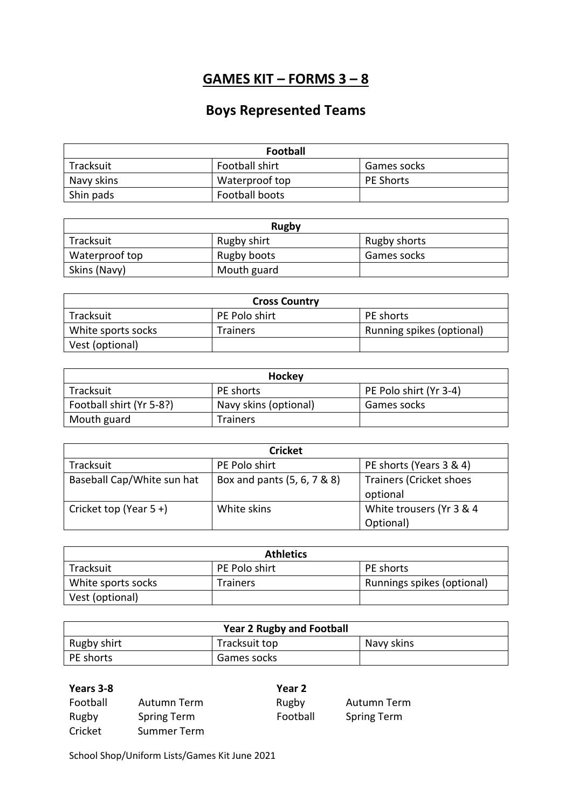## **GAMES KIT – FORMS 3 – 8**

## **Boys Represented Teams**

| <b>Football</b> |                |                  |
|-----------------|----------------|------------------|
| Tracksuit       | Football shirt | Games socks      |
| Navy skins      | Waterproof top | <b>PE Shorts</b> |
| Shin pads       | Football boots |                  |

| <b>Rugby</b>   |             |              |
|----------------|-------------|--------------|
| Tracksuit      | Rugby shirt | Rugby shorts |
| Waterproof top | Rugby boots | Games socks  |
| Skins (Navy)   | Mouth guard |              |

| <b>Cross Country</b> |                 |                           |
|----------------------|-----------------|---------------------------|
| Tracksuit            | PE Polo shirt   | PE shorts                 |
| White sports socks   | <b>Trainers</b> | Running spikes (optional) |
| Vest (optional)      |                 |                           |

| Hockey                   |                       |                        |
|--------------------------|-----------------------|------------------------|
| Tracksuit                | <b>PE</b> shorts      | PE Polo shirt (Yr 3-4) |
| Football shirt (Yr 5-8?) | Navy skins (optional) | Games socks            |
| Mouth guard              | <b>Trainers</b>       |                        |

| <b>Cricket</b>             |                             |                                       |
|----------------------------|-----------------------------|---------------------------------------|
| Tracksuit                  | PE Polo shirt               | PE shorts (Years 3 & 4)               |
| Baseball Cap/White sun hat | Box and pants (5, 6, 7 & 8) | Trainers (Cricket shoes<br>optional   |
| Cricket top (Year $5 +$ )  | White skins                 | White trousers (Yr 3 & 4<br>Optional) |

| <b>Athletics</b>   |                 |                            |
|--------------------|-----------------|----------------------------|
| Tracksuit          | PE Polo shirt   | PE shorts                  |
| White sports socks | <b>Trainers</b> | Runnings spikes (optional) |
| Vest (optional)    |                 |                            |

| <b>Year 2 Rugby and Football</b> |               |            |
|----------------------------------|---------------|------------|
| Rugby shirt                      | Tracksuit top | Navy skins |
| PE shorts                        | Games socks   |            |

| Years 3-8 |                    | Year 2   |                    |
|-----------|--------------------|----------|--------------------|
| Football  | Autumn Term        | Rugby    | Autumn Term        |
| Rugby     | <b>Spring Term</b> | Football | <b>Spring Term</b> |
| Cricket   | Summer Term        |          |                    |

School Shop/Uniform Lists/Games Kit June 2021